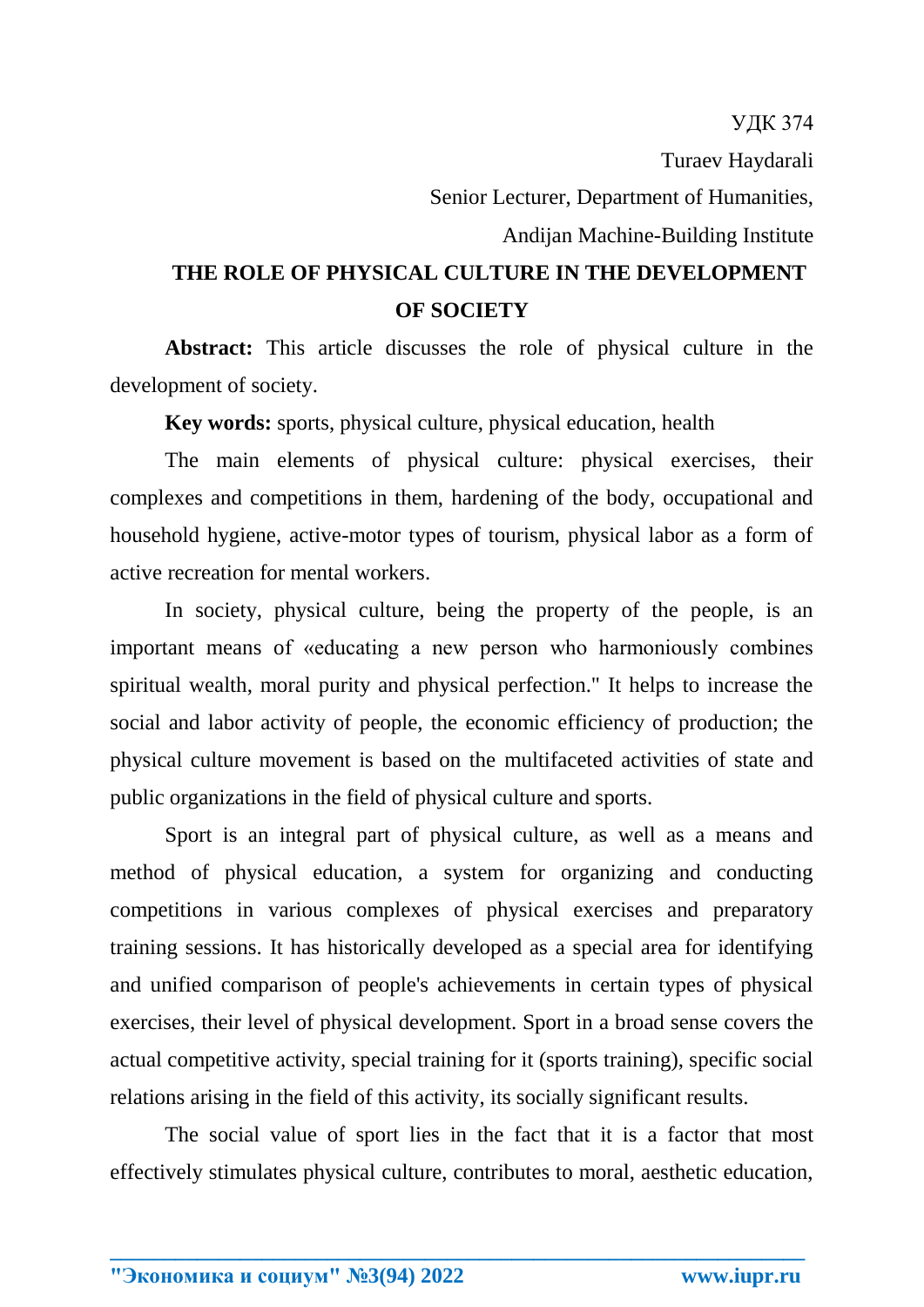## **THE ROLE OF PHYSICAL CULTURE IN THE DEVELOPMENT OF SOCIETY**

**Abstract:** This article discusses the role of physical culture in the development of society.

**Key words:** sports, physical culture, physical education, health

The main elements of physical culture: physical exercises, their complexes and competitions in them, hardening of the body, occupational and household hygiene, active-motor types of tourism, physical labor as a form of active recreation for mental workers.

In society, physical culture, being the property of the people, is an important means of «educating a new person who harmoniously combines spiritual wealth, moral purity and physical perfection." It helps to increase the social and labor activity of people, the economic efficiency of production; the physical culture movement is based on the multifaceted activities of state and public organizations in the field of physical culture and sports.

Sport is an integral part of physical culture, as well as a means and method of physical education, a system for organizing and conducting competitions in various complexes of physical exercises and preparatory training sessions. It has historically developed as a special area for identifying and unified comparison of people's achievements in certain types of physical exercises, their level of physical development. Sport in a broad sense covers the actual competitive activity, special training for it (sports training), specific social relations arising in the field of this activity, its socially significant results.

The social value of sport lies in the fact that it is a factor that most effectively stimulates physical culture, contributes to moral, aesthetic education,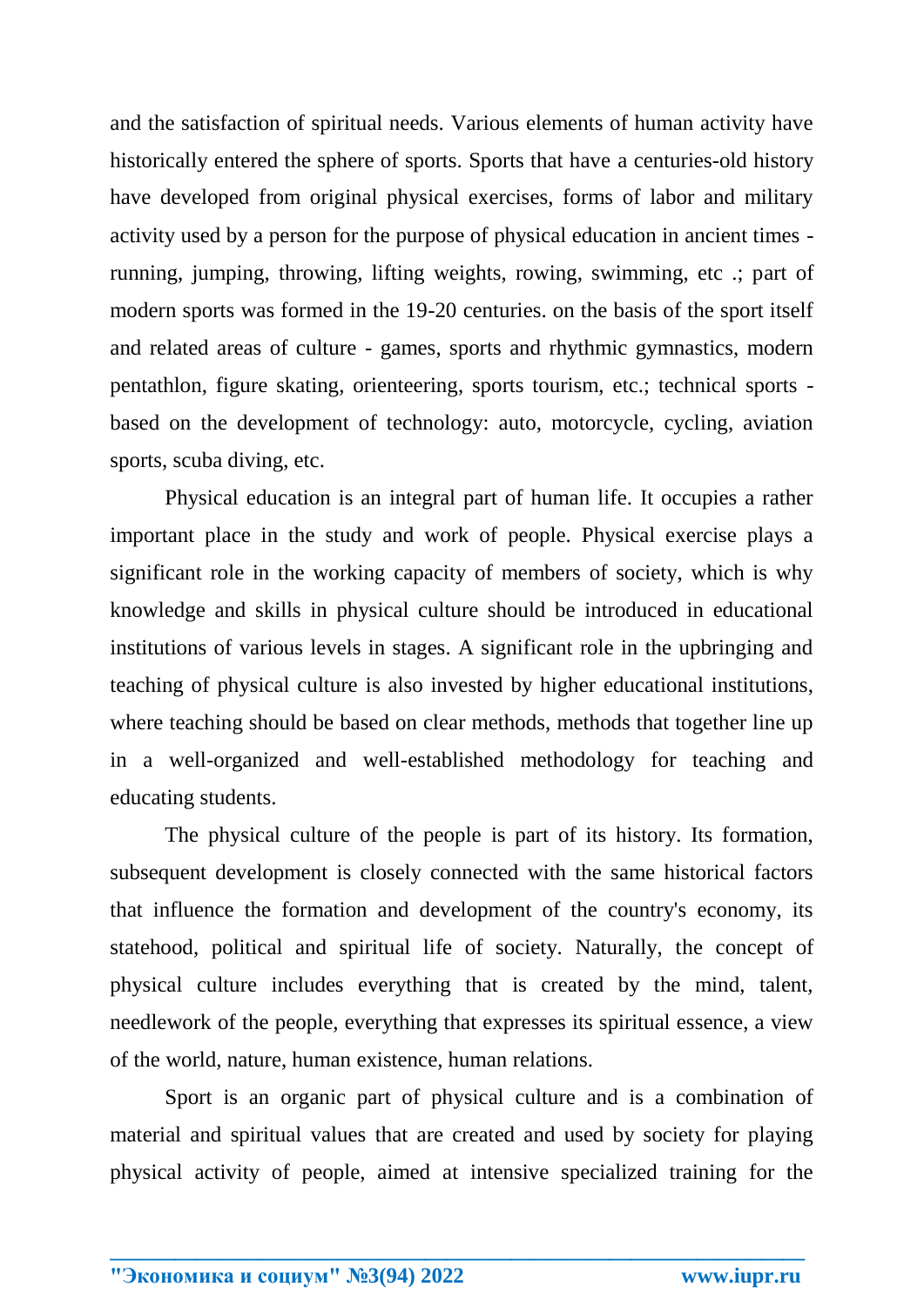and the satisfaction of spiritual needs. Various elements of human activity have historically entered the sphere of sports. Sports that have a centuries-old history have developed from original physical exercises, forms of labor and military activity used by a person for the purpose of physical education in ancient times running, jumping, throwing, lifting weights, rowing, swimming, etc .; part of modern sports was formed in the 19-20 centuries. on the basis of the sport itself and related areas of culture - games, sports and rhythmic gymnastics, modern pentathlon, figure skating, orienteering, sports tourism, etc.; technical sports based on the development of technology: auto, motorcycle, cycling, aviation sports, scuba diving, etc.

Physical education is an integral part of human life. It occupies a rather important place in the study and work of people. Physical exercise plays a significant role in the working capacity of members of society, which is why knowledge and skills in physical culture should be introduced in educational institutions of various levels in stages. A significant role in the upbringing and teaching of physical culture is also invested by higher educational institutions, where teaching should be based on clear methods, methods that together line up in a well-organized and well-established methodology for teaching and educating students.

The physical culture of the people is part of its history. Its formation, subsequent development is closely connected with the same historical factors that influence the formation and development of the country's economy, its statehood, political and spiritual life of society. Naturally, the concept of physical culture includes everything that is created by the mind, talent, needlework of the people, everything that expresses its spiritual essence, a view of the world, nature, human existence, human relations.

Sport is an organic part of physical culture and is a combination of material and spiritual values that are created and used by society for playing physical activity of people, aimed at intensive specialized training for the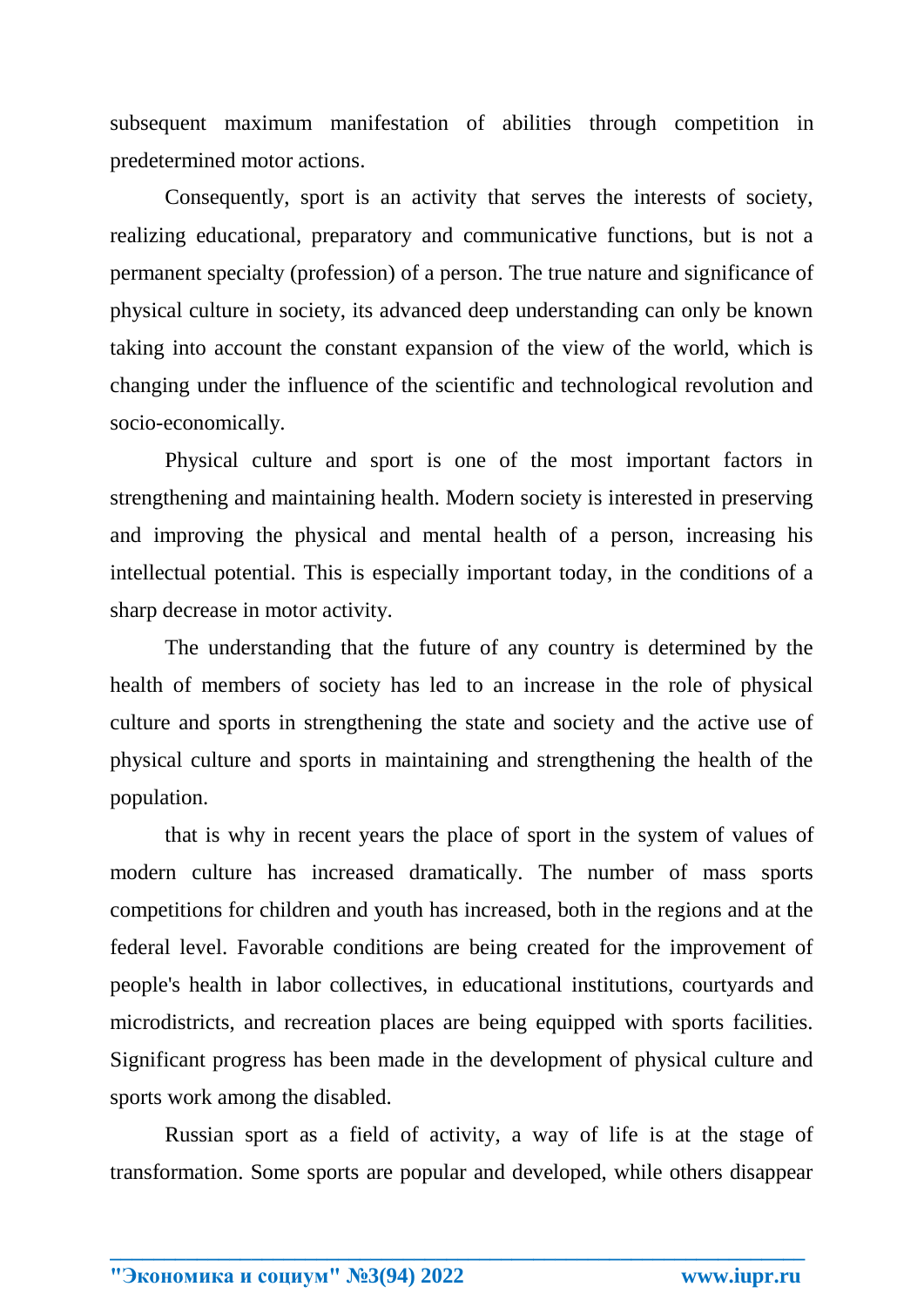subsequent maximum manifestation of abilities through competition in predetermined motor actions.

Consequently, sport is an activity that serves the interests of society, realizing educational, preparatory and communicative functions, but is not a permanent specialty (profession) of a person. The true nature and significance of physical culture in society, its advanced deep understanding can only be known taking into account the constant expansion of the view of the world, which is changing under the influence of the scientific and technological revolution and socio-economically.

Physical culture and sport is one of the most important factors in strengthening and maintaining health. Modern society is interested in preserving and improving the physical and mental health of a person, increasing his intellectual potential. This is especially important today, in the conditions of a sharp decrease in motor activity.

The understanding that the future of any country is determined by the health of members of society has led to an increase in the role of physical culture and sports in strengthening the state and society and the active use of physical culture and sports in maintaining and strengthening the health of the population.

that is why in recent years the place of sport in the system of values of modern culture has increased dramatically. The number of mass sports competitions for children and youth has increased, both in the regions and at the federal level. Favorable conditions are being created for the improvement of people's health in labor collectives, in educational institutions, courtyards and microdistricts, and recreation places are being equipped with sports facilities. Significant progress has been made in the development of physical culture and sports work among the disabled.

Russian sport as a field of activity, a way of life is at the stage of transformation. Some sports are popular and developed, while others disappear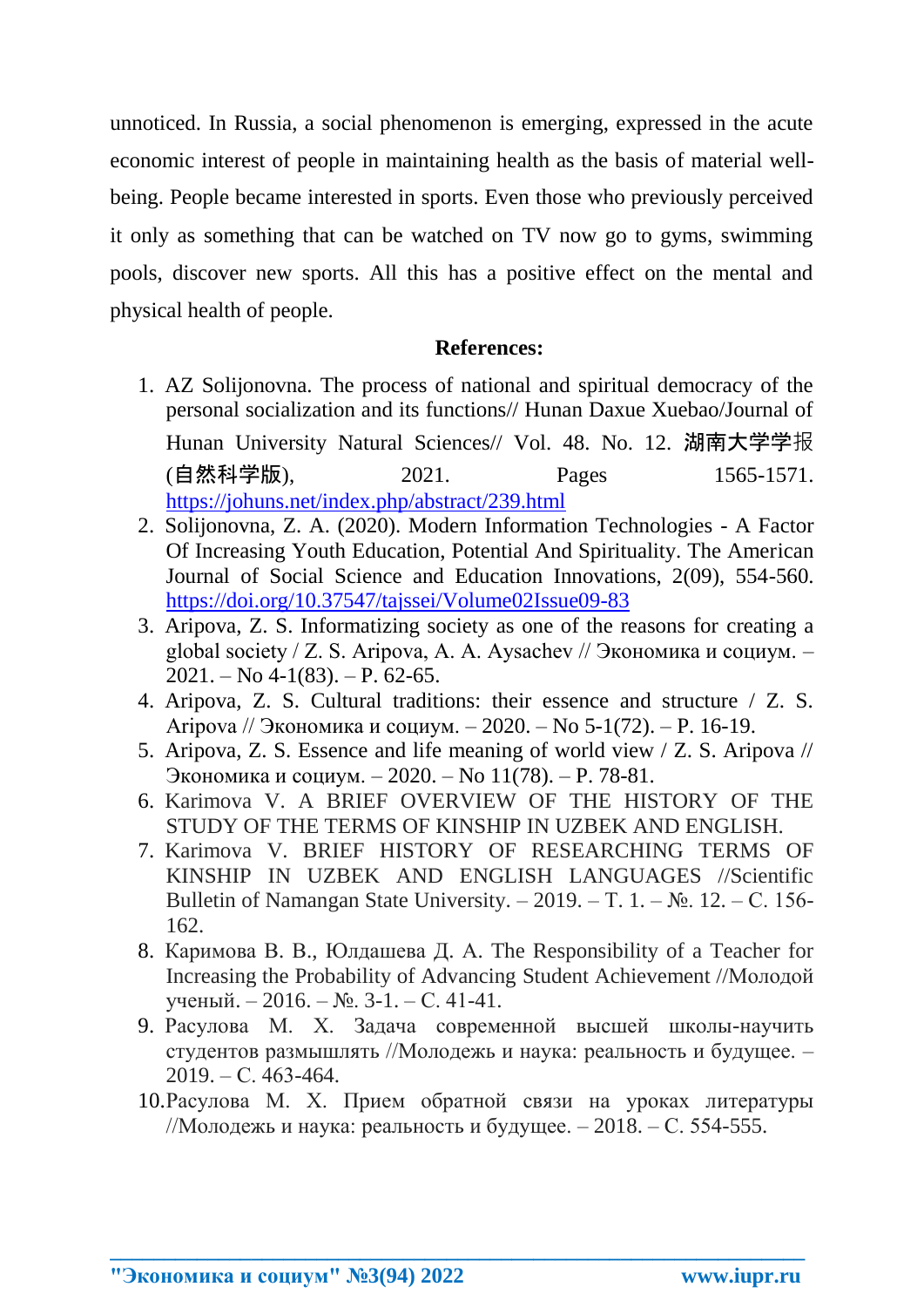unnoticed. In Russia, a social phenomenon is emerging, expressed in the acute economic interest of people in maintaining health as the basis of material wellbeing. People became interested in sports. Even those who previously perceived it only as something that can be watched on TV now go to gyms, swimming pools, discover new sports. All this has a positive effect on the mental and physical health of people.

## **References:**

- 1. AZ Solijonovna. The process of national and spiritual democracy of the personal socialization and its functions// Hunan Daxue Xuebao/Journal of Hunan University Natural Sciences// Vol. 48. No. 12. 湖南大学学报 (自然科学版), 2021. Pages 1565-1571. <https://johuns.net/index.php/abstract/239.html>
- 2. Solijonovna, Z. A. (2020). Modern Information Technologies A Factor Of Increasing Youth Education, Potential And Spirituality. The American Journal of Social Science and Education Innovations, 2(09), 554-560. <https://doi.org/10.37547/tajssei/Volume02Issue09-83>
- 3. Aripova, Z. S. Informatizing society as one of the reasons for creating a global society / Z. S. Aripova, A. A. Aysachev // Экономика и социум. –  $2021. - No 4-1(83)$ .  $- P. 62-65$ .
- 4. Aripova, Z. S. Cultural traditions: their essence and structure / Z. S. Aripova // Экономика и социум. – 2020. – No 5-1(72). – P. 16-19.
- 5. Aripova, Z. S. Essence and life meaning of world view / Z. S. Aripova // Экономика и социум. – 2020. – No 11(78). – P. 78-81.
- 6. Karimova V. A BRIEF OVERVIEW OF THE HISTORY OF THE STUDY OF THE TERMS OF KINSHIP IN UZBEK AND ENGLISH.
- 7. Karimova V. BRIEF HISTORY OF RESEARCHING TERMS OF KINSHIP IN UZBEK AND ENGLISH LANGUAGES //Scientific Bulletin of Namangan State University. – 2019. – T. 1. –  $\mathbb{N}_2$ . 12. – C. 156-162.
- 8. Каримова В. В., Юлдашева Д. А. The Responsibility of a Teacher for Increasing the Probability of Advancing Student Achievement //Молодой ученый. – 2016. – №. 3-1. – С. 41-41.
- 9. Расулова М. Х. Задача современной высшей школы-научить студентов размышлять //Молодежь и наука: реальность и будущее. –  $2019. - C.463-464.$
- 10.Расулова М. Х. Прием обратной связи на уроках литературы //Молодежь и наука: реальность и будущее. – 2018. – С. 554-555.